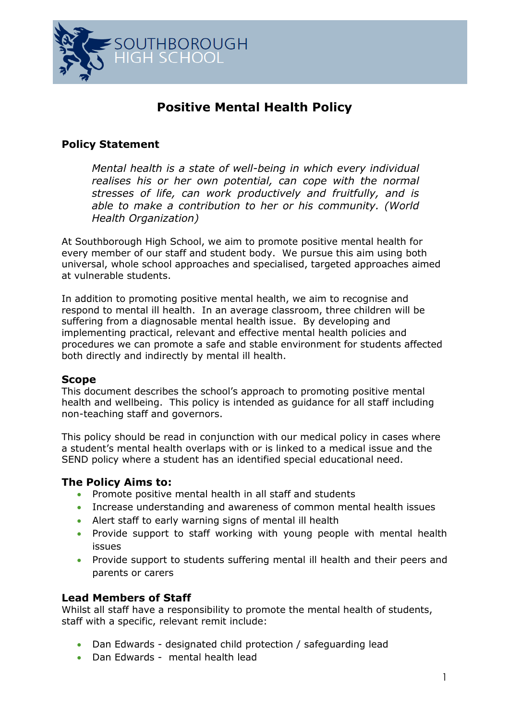

# **Positive Mental Health Policy**

## **Policy Statement**

*Mental health is a state of well-being in which every individual realises his or her own potential, can cope with the normal stresses of life, can work productively and fruitfully, and is able to make a contribution to her or his community. (World Health Organization)*

At Southborough High School, we aim to promote positive mental health for every member of our staff and student body. We pursue this aim using both universal, whole school approaches and specialised, targeted approaches aimed at vulnerable students.

In addition to promoting positive mental health, we aim to recognise and respond to mental ill health. In an average classroom, three children will be suffering from a diagnosable mental health issue. By developing and implementing practical, relevant and effective mental health policies and procedures we can promote a safe and stable environment for students affected both directly and indirectly by mental ill health.

#### **Scope**

This document describes the school's approach to promoting positive mental health and wellbeing. This policy is intended as guidance for all staff including non-teaching staff and governors.

This policy should be read in conjunction with our medical policy in cases where a student's mental health overlaps with or is linked to a medical issue and the SEND policy where a student has an identified special educational need.

#### **The Policy Aims to:**

- Promote positive mental health in all staff and students
- Increase understanding and awareness of common mental health issues
- Alert staff to early warning signs of mental ill health
- Provide support to staff working with young people with mental health issues
- Provide support to students suffering mental ill health and their peers and parents or carers

#### **Lead Members of Staff**

Whilst all staff have a responsibility to promote the mental health of students, staff with a specific, relevant remit include:

- Dan Edwards designated child protection / safeguarding lead
- Dan Edwards mental health lead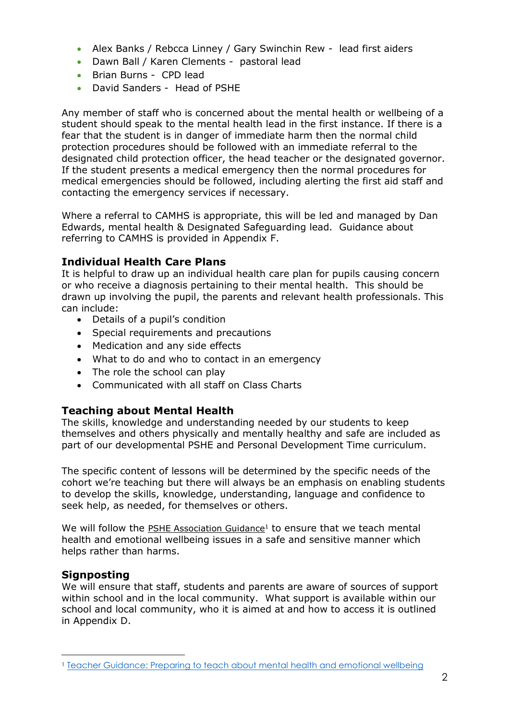- Alex Banks / Rebcca Linney / Gary Swinchin Rew lead first aiders
- Dawn Ball / Karen Clements pastoral lead
- Brian Burns CPD lead
- David Sanders Head of PSHE

Any member of staff who is concerned about the mental health or wellbeing of a student should speak to the mental health lead in the first instance. If there is a fear that the student is in danger of immediate harm then the normal child protection procedures should be followed with an immediate referral to the designated child protection officer, the head teacher or the designated governor. If the student presents a medical emergency then the normal procedures for medical emergencies should be followed, including alerting the first aid staff and contacting the emergency services if necessary.

Where a referral to CAMHS is appropriate, this will be led and managed by Dan Edwards, mental health & Designated Safeguarding lead. Guidance about referring to CAMHS is provided in Appendix F.

### **Individual Health Care Plans**

It is helpful to draw up an individual health care plan for pupils causing concern or who receive a diagnosis pertaining to their mental health. This should be drawn up involving the pupil, the parents and relevant health professionals. This can include:

- Details of a pupil's condition
- Special requirements and precautions
- Medication and any side effects
- What to do and who to contact in an emergency
- The role the school can play
- Communicated with all staff on Class Charts

#### **Teaching about Mental Health**

The skills, knowledge and understanding needed by our students to keep themselves and others physically and mentally healthy and safe are included as part of our developmental PSHE and Personal Development Time curriculum.

The specific content of lessons will be determined by the specific needs of the cohort we're teaching but there will always be an emphasis on enabling students to develop the skills, knowledge, understanding, language and confidence to seek help, as needed, for themselves or others.

We will follow the [PSHE Association Guidance](https://www.pshe-association.org.uk/system/files/Mental%20health%20guidance_0.pdf)<sup>1</sup> to ensure that we teach mental health and emotional wellbeing issues in a safe and sensitive manner which helps rather than harms.

#### **Signposting**

 $\overline{a}$ 

We will ensure that staff, students and parents are aware of sources of support within school and in the local community. What support is available within our school and local community, who it is aimed at and how to access it is outlined in Appendix D.

<sup>&</sup>lt;sup>1</sup> [Teacher Guidance: Preparing to teach about mental health and emotional wellbeing](https://www.pshe-association.org.uk/system/files/Mental%20health%20guidance_0.pdf)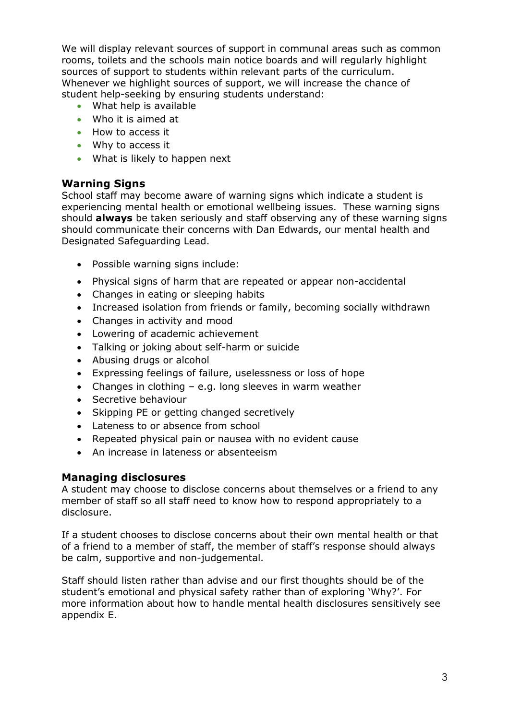We will display relevant sources of support in communal areas such as common rooms, toilets and the schools main notice boards and will regularly highlight sources of support to students within relevant parts of the curriculum. Whenever we highlight sources of support, we will increase the chance of student help-seeking by ensuring students understand:

- What help is available
- Who it is aimed at
- How to access it
- Why to access it
- What is likely to happen next

### **Warning Signs**

School staff may become aware of warning signs which indicate a student is experiencing mental health or emotional wellbeing issues. These warning signs should **always** be taken seriously and staff observing any of these warning signs should communicate their concerns with Dan Edwards, our mental health and Designated Safeguarding Lead.

- Possible warning signs include:
- Physical signs of harm that are repeated or appear non-accidental
- Changes in eating or sleeping habits
- Increased isolation from friends or family, becoming socially withdrawn
- Changes in activity and mood
- Lowering of academic achievement
- Talking or joking about self-harm or suicide
- Abusing drugs or alcohol
- Expressing feelings of failure, uselessness or loss of hope
- Changes in clothing e.g. long sleeves in warm weather
- Secretive behaviour
- Skipping PE or getting changed secretively
- Lateness to or absence from school
- Repeated physical pain or nausea with no evident cause
- An increase in lateness or absenteeism

#### **Managing disclosures**

A student may choose to disclose concerns about themselves or a friend to any member of staff so all staff need to know how to respond appropriately to a disclosure.

If a student chooses to disclose concerns about their own mental health or that of a friend to a member of staff, the member of staff's response should always be calm, supportive and non-judgemental.

Staff should listen rather than advise and our first thoughts should be of the student's emotional and physical safety rather than of exploring 'Why?'. For more information about how to handle mental health disclosures sensitively see appendix E.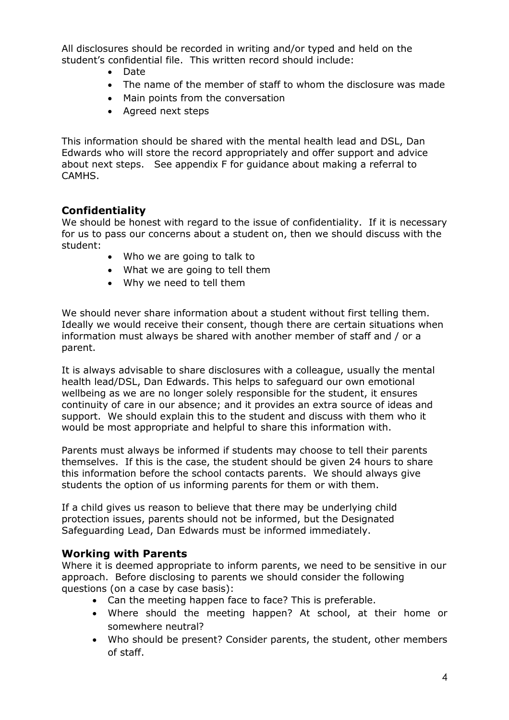All disclosures should be recorded in writing and/or typed and held on the student's confidential file. This written record should include:

- Date
- The name of the member of staff to whom the disclosure was made
- Main points from the conversation
- Agreed next steps

This information should be shared with the mental health lead and DSL, Dan Edwards who will store the record appropriately and offer support and advice about next steps. See appendix F for guidance about making a referral to CAMHS.

#### **Confidentiality**

We should be honest with regard to the issue of confidentiality. If it is necessary for us to pass our concerns about a student on, then we should discuss with the student:

- Who we are going to talk to
- What we are going to tell them
- Why we need to tell them

We should never share information about a student without first telling them. Ideally we would receive their consent, though there are certain situations when information must always be shared with another member of staff and / or a parent.

It is always advisable to share disclosures with a colleague, usually the mental health lead/DSL, Dan Edwards. This helps to safeguard our own emotional wellbeing as we are no longer solely responsible for the student, it ensures continuity of care in our absence; and it provides an extra source of ideas and support. We should explain this to the student and discuss with them who it would be most appropriate and helpful to share this information with.

Parents must always be informed if students may choose to tell their parents themselves. If this is the case, the student should be given 24 hours to share this information before the school contacts parents. We should always give students the option of us informing parents for them or with them.

If a child gives us reason to believe that there may be underlying child protection issues, parents should not be informed, but the Designated Safeguarding Lead, Dan Edwards must be informed immediately.

#### **Working with Parents**

Where it is deemed appropriate to inform parents, we need to be sensitive in our approach. Before disclosing to parents we should consider the following questions (on a case by case basis):

- Can the meeting happen face to face? This is preferable.
- Where should the meeting happen? At school, at their home or somewhere neutral?
- Who should be present? Consider parents, the student, other members of staff.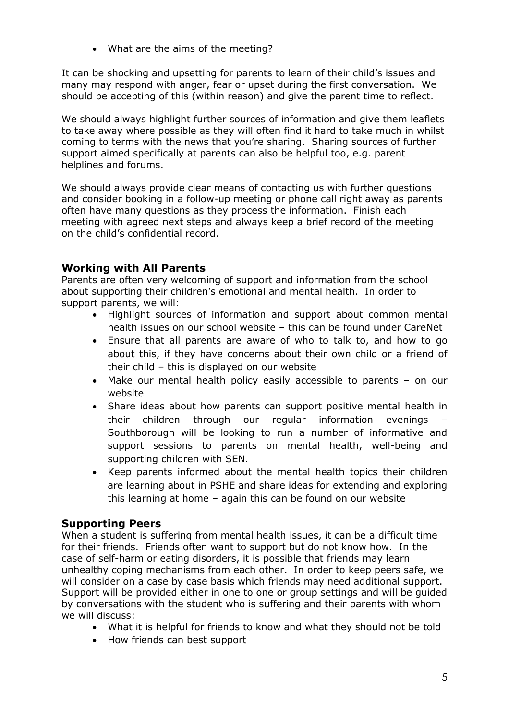What are the aims of the meeting?

It can be shocking and upsetting for parents to learn of their child's issues and many may respond with anger, fear or upset during the first conversation. We should be accepting of this (within reason) and give the parent time to reflect.

We should always highlight further sources of information and give them leaflets to take away where possible as they will often find it hard to take much in whilst coming to terms with the news that you're sharing. Sharing sources of further support aimed specifically at parents can also be helpful too, e.g. parent helplines and forums.

We should always provide clear means of contacting us with further questions and consider booking in a follow-up meeting or phone call right away as parents often have many questions as they process the information. Finish each meeting with agreed next steps and always keep a brief record of the meeting on the child's confidential record.

### **Working with All Parents**

Parents are often very welcoming of support and information from the school about supporting their children's emotional and mental health. In order to support parents, we will:

- Highlight sources of information and support about common mental health issues on our school website – this can be found under CareNet
- Ensure that all parents are aware of who to talk to, and how to go about this, if they have concerns about their own child or a friend of their child – this is displayed on our website
- Make our mental health policy easily accessible to parents on our website
- Share ideas about how parents can support positive mental health in their children through our regular information evenings Southborough will be looking to run a number of informative and support sessions to parents on mental health, well-being and supporting children with SEN.
- Keep parents informed about the mental health topics their children are learning about in PSHE and share ideas for extending and exploring this learning at home – again this can be found on our website

#### **Supporting Peers**

When a student is suffering from mental health issues, it can be a difficult time for their friends. Friends often want to support but do not know how. In the case of self-harm or eating disorders, it is possible that friends may learn unhealthy coping mechanisms from each other. In order to keep peers safe, we will consider on a case by case basis which friends may need additional support. Support will be provided either in one to one or group settings and will be guided by conversations with the student who is suffering and their parents with whom we will discuss:

- What it is helpful for friends to know and what they should not be told
- How friends can best support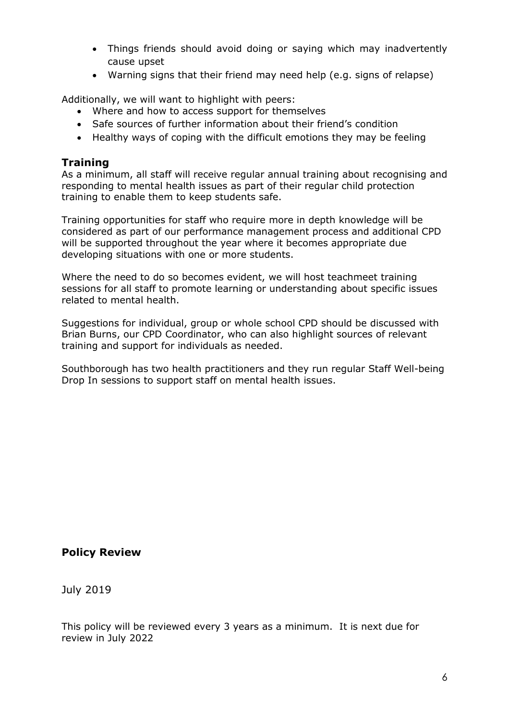- Things friends should avoid doing or saying which may inadvertently cause upset
- Warning signs that their friend may need help (e.g. signs of relapse)

Additionally, we will want to highlight with peers:

- Where and how to access support for themselves
- Safe sources of further information about their friend's condition
- Healthy ways of coping with the difficult emotions they may be feeling

#### **Training**

As a minimum, all staff will receive regular annual training about recognising and responding to mental health issues as part of their regular child protection training to enable them to keep students safe.

Training opportunities for staff who require more in depth knowledge will be considered as part of our performance management process and additional CPD will be supported throughout the year where it becomes appropriate due developing situations with one or more students.

Where the need to do so becomes evident, we will host teachmeet training sessions for all staff to promote learning or understanding about specific issues related to mental health.

Suggestions for individual, group or whole school CPD should be discussed with Brian Burns, our CPD Coordinator, who can also highlight sources of relevant training and support for individuals as needed.

Southborough has two health practitioners and they run regular Staff Well-being Drop In sessions to support staff on mental health issues.

#### **Policy Review**

July 2019

This policy will be reviewed every 3 years as a minimum. It is next due for review in July 2022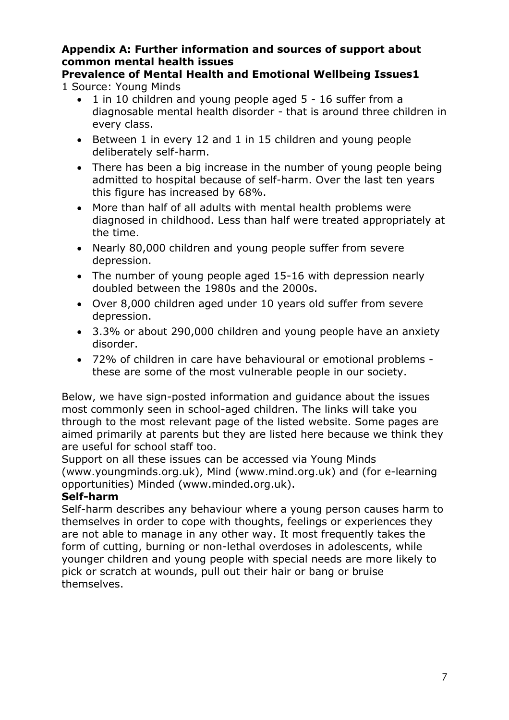### **Appendix A: Further information and sources of support about common mental health issues**

**Prevalence of Mental Health and Emotional Wellbeing Issues1**  1 Source: Young Minds

- 1 in 10 children and young people aged 5 16 suffer from a diagnosable mental health disorder - that is around three children in every class.
- Between 1 in every 12 and 1 in 15 children and young people deliberately self-harm.
- There has been a big increase in the number of young people being admitted to hospital because of self-harm. Over the last ten years this figure has increased by 68%.
- More than half of all adults with mental health problems were diagnosed in childhood. Less than half were treated appropriately at the time.
- Nearly 80,000 children and young people suffer from severe depression.
- The number of young people aged 15-16 with depression nearly doubled between the 1980s and the 2000s.
- Over 8,000 children aged under 10 years old suffer from severe depression.
- 3.3% or about 290,000 children and young people have an anxiety disorder.
- 72% of children in care have behavioural or emotional problems these are some of the most vulnerable people in our society.

Below, we have sign-posted information and guidance about the issues most commonly seen in school-aged children. The links will take you through to the most relevant page of the listed website. Some pages are aimed primarily at parents but they are listed here because we think they are useful for school staff too.

Support on all these issues can be accessed via Young Minds (www.youngminds.org.uk), Mind (www.mind.org.uk) and (for e-learning opportunities) Minded (www.minded.org.uk).

# **Self-harm**

Self-harm describes any behaviour where a young person causes harm to themselves in order to cope with thoughts, feelings or experiences they are not able to manage in any other way. It most frequently takes the form of cutting, burning or non-lethal overdoses in adolescents, while younger children and young people with special needs are more likely to pick or scratch at wounds, pull out their hair or bang or bruise themselves.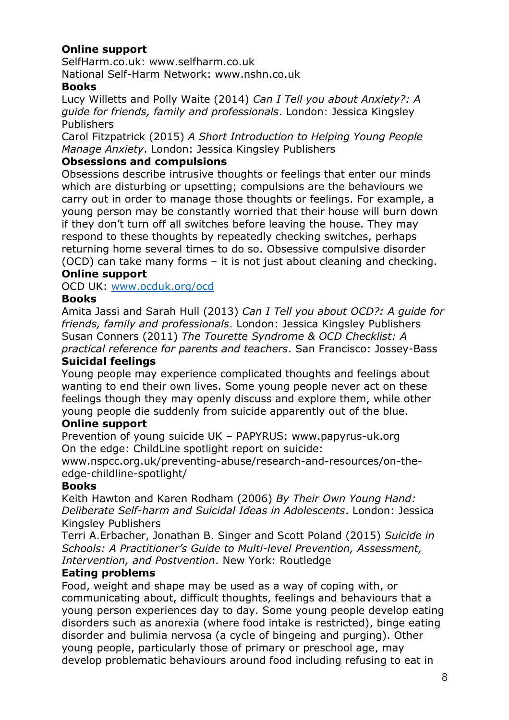# **Online support**

SelfHarm.co.uk: www.selfharm.co.uk

National Self-Harm Network: www.nshn.co.uk

### **Books**

Lucy Willetts and Polly Waite (2014) *Can I Tell you about Anxiety?: A guide for friends, family and professionals*. London: Jessica Kingsley Publishers

Carol Fitzpatrick (2015) *A Short Introduction to Helping Young People Manage Anxiety*. London: Jessica Kingsley Publishers

### **Obsessions and compulsions**

Obsessions describe intrusive thoughts or feelings that enter our minds which are disturbing or upsetting; compulsions are the behaviours we carry out in order to manage those thoughts or feelings. For example, a young person may be constantly worried that their house will burn down if they don't turn off all switches before leaving the house. They may respond to these thoughts by repeatedly checking switches, perhaps returning home several times to do so. Obsessive compulsive disorder (OCD) can take many forms – it is not just about cleaning and checking. **Online support** 

OCD UK: [www.ocduk.org/ocd](http://www.ocduk.org/ocd)

### **Books**

Amita Jassi and Sarah Hull (2013) *Can I Tell you about OCD?: A guide for friends, family and professionals*. London: Jessica Kingsley Publishers Susan Conners (2011) *The Tourette Syndrome & OCD Checklist: A practical reference for parents and teachers*. San Francisco: Jossey-Bass **Suicidal feelings** 

### Young people may experience complicated thoughts and feelings about wanting to end their own lives. Some young people never act on these feelings though they may openly discuss and explore them, while other young people die suddenly from suicide apparently out of the blue.

### **Online support**

Prevention of young suicide UK – PAPYRUS: www.papyrus-uk.org On the edge: ChildLine spotlight report on suicide:

www.nspcc.org.uk/preventing-abuse/research-and-resources/on-theedge-childline-spotlight/

### **Books**

Keith Hawton and Karen Rodham (2006) *By Their Own Young Hand: Deliberate Self-harm and Suicidal Ideas in Adolescents*. London: Jessica Kingsley Publishers

Terri A.Erbacher, Jonathan B. Singer and Scott Poland (2015) *Suicide in Schools: A Practitioner's Guide to Multi-level Prevention, Assessment, Intervention, and Postvention*. New York: Routledge

### **Eating problems**

Food, weight and shape may be used as a way of coping with, or communicating about, difficult thoughts, feelings and behaviours that a young person experiences day to day. Some young people develop eating disorders such as anorexia (where food intake is restricted), binge eating disorder and bulimia nervosa (a cycle of bingeing and purging). Other young people, particularly those of primary or preschool age, may develop problematic behaviours around food including refusing to eat in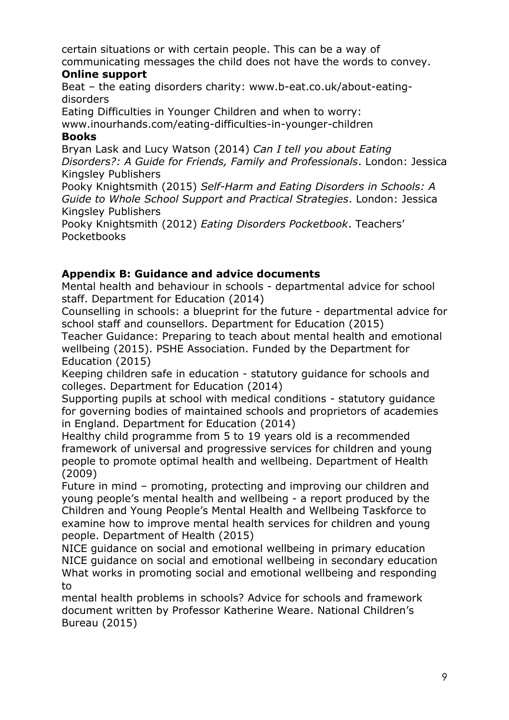certain situations or with certain people. This can be a way of communicating messages the child does not have the words to convey.

### **Online support**

Beat – the eating disorders charity: www.b-eat.co.uk/about-eatingdisorders

Eating Difficulties in Younger Children and when to worry:

www.inourhands.com/eating-difficulties-in-younger-children **Books** 

Bryan Lask and Lucy Watson (2014) *Can I tell you about Eating Disorders?: A Guide for Friends, Family and Professionals*. London: Jessica Kingsley Publishers

Pooky Knightsmith (2015) *Self-Harm and Eating Disorders in Schools: A Guide to Whole School Support and Practical Strategies*. London: Jessica Kingsley Publishers

Pooky Knightsmith (2012) *Eating Disorders Pocketbook*. Teachers' Pocketbooks

### **Appendix B: Guidance and advice documents**

Mental health and behaviour in schools - departmental advice for school staff. Department for Education (2014)

Counselling in schools: a blueprint for the future - departmental advice for school staff and counsellors. Department for Education (2015)

Teacher Guidance: Preparing to teach about mental health and emotional wellbeing (2015). PSHE Association. Funded by the Department for Education (2015)

Keeping children safe in education - statutory guidance for schools and colleges. Department for Education (2014)

Supporting pupils at school with medical conditions - statutory guidance for governing bodies of maintained schools and proprietors of academies in England. Department for Education (2014)

Healthy child programme from 5 to 19 years old is a recommended framework of universal and progressive services for children and young people to promote optimal health and wellbeing. Department of Health (2009)

Future in mind – promoting, protecting and improving our children and young people's mental health and wellbeing - a report produced by the Children and Young People's Mental Health and Wellbeing Taskforce to examine how to improve mental health services for children and young people. Department of Health (2015)

NICE guidance on social and emotional wellbeing in primary education NICE guidance on social and emotional wellbeing in secondary education What works in promoting social and emotional wellbeing and responding to

mental health problems in schools? Advice for schools and framework document written by Professor Katherine Weare. National Children's Bureau (2015)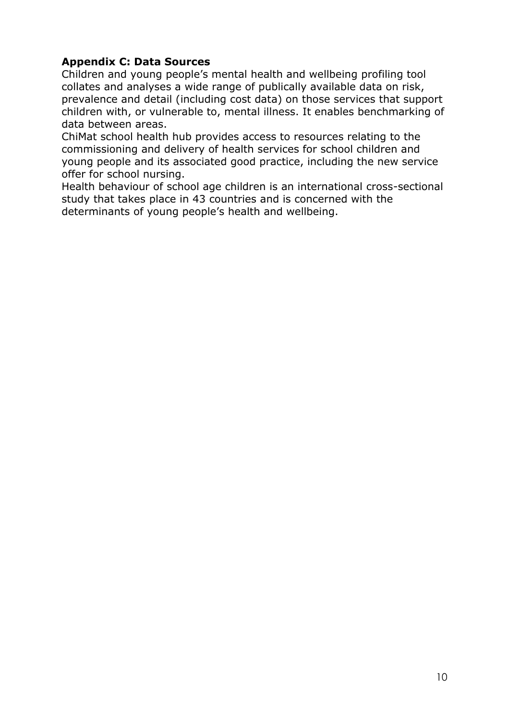# **Appendix C: Data Sources**

Children and young people's mental health and wellbeing profiling tool collates and analyses a wide range of publically available data on risk, prevalence and detail (including cost data) on those services that support children with, or vulnerable to, mental illness. It enables benchmarking of data between areas.

ChiMat school health hub provides access to resources relating to the commissioning and delivery of health services for school children and young people and its associated good practice, including the new service offer for school nursing.

Health behaviour of school age children is an international cross-sectional study that takes place in 43 countries and is concerned with the determinants of young people's health and wellbeing.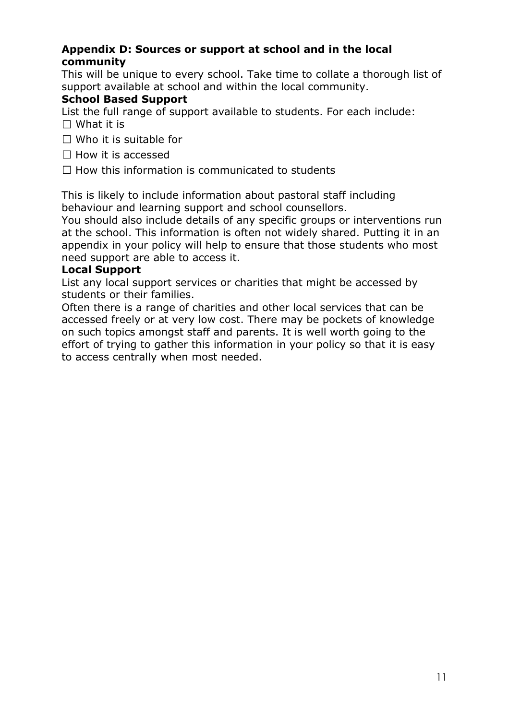### **Appendix D: Sources or support at school and in the local community**

This will be unique to every school. Take time to collate a thorough list of support available at school and within the local community.

### **School Based Support**

List the full range of support available to students. For each include:

- $\Box$  What it is
- $\Box$  Who it is suitable for
- $\Box$  How it is accessed
- $\Box$  How this information is communicated to students

This is likely to include information about pastoral staff including behaviour and learning support and school counsellors.

You should also include details of any specific groups or interventions run at the school. This information is often not widely shared. Putting it in an appendix in your policy will help to ensure that those students who most need support are able to access it.

#### **Local Support**

List any local support services or charities that might be accessed by students or their families.

Often there is a range of charities and other local services that can be accessed freely or at very low cost. There may be pockets of knowledge on such topics amongst staff and parents. It is well worth going to the effort of trying to gather this information in your policy so that it is easy to access centrally when most needed.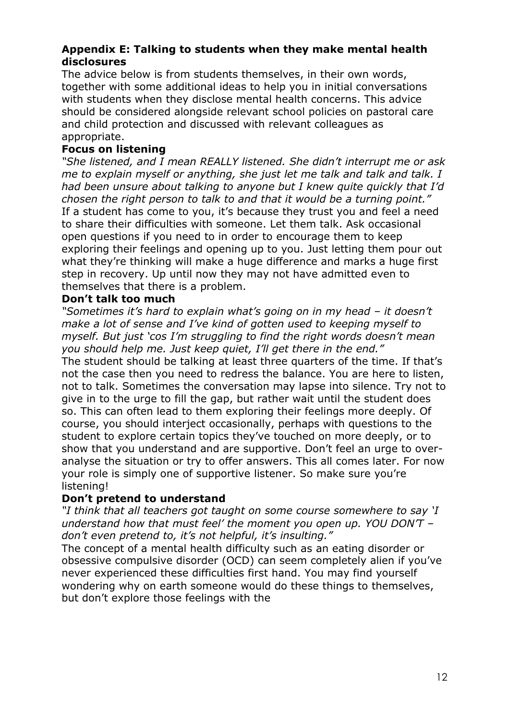### **Appendix E: Talking to students when they make mental health disclosures**

The advice below is from students themselves, in their own words, together with some additional ideas to help you in initial conversations with students when they disclose mental health concerns. This advice should be considered alongside relevant school policies on pastoral care and child protection and discussed with relevant colleagues as appropriate.

### **Focus on listening**

*"She listened, and I mean REALLY listened. She didn't interrupt me or ask me to explain myself or anything, she just let me talk and talk and talk. I had been unsure about talking to anyone but I knew quite quickly that I'd chosen the right person to talk to and that it would be a turning point."*  If a student has come to you, it's because they trust you and feel a need to share their difficulties with someone. Let them talk. Ask occasional open questions if you need to in order to encourage them to keep exploring their feelings and opening up to you. Just letting them pour out what they're thinking will make a huge difference and marks a huge first step in recovery. Up until now they may not have admitted even to themselves that there is a problem.

#### **Don't talk too much**

*"Sometimes it's hard to explain what's going on in my head – it doesn't make a lot of sense and I've kind of gotten used to keeping myself to myself. But just 'cos I'm struggling to find the right words doesn't mean you should help me. Just keep quiet, I'll get there in the end."*  The student should be talking at least three quarters of the time. If that's not the case then you need to redress the balance. You are here to listen, not to talk. Sometimes the conversation may lapse into silence. Try not to give in to the urge to fill the gap, but rather wait until the student does so. This can often lead to them exploring their feelings more deeply. Of course, you should interject occasionally, perhaps with questions to the student to explore certain topics they've touched on more deeply, or to show that you understand and are supportive. Don't feel an urge to overanalyse the situation or try to offer answers. This all comes later. For now your role is simply one of supportive listener. So make sure you're listening!

### **Don't pretend to understand**

*"I think that all teachers got taught on some course somewhere to say 'I understand how that must feel' the moment you open up. YOU DON'T – don't even pretend to, it's not helpful, it's insulting."* 

The concept of a mental health difficulty such as an eating disorder or obsessive compulsive disorder (OCD) can seem completely alien if you've never experienced these difficulties first hand. You may find yourself wondering why on earth someone would do these things to themselves, but don't explore those feelings with the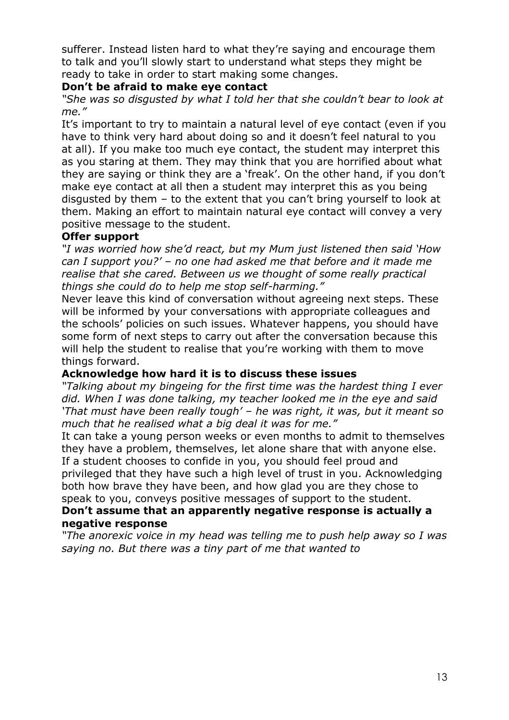sufferer. Instead listen hard to what they're saying and encourage them to talk and you'll slowly start to understand what steps they might be ready to take in order to start making some changes.

#### **Don't be afraid to make eye contact**

*"She was so disgusted by what I told her that she couldn't bear to look at me."* 

It's important to try to maintain a natural level of eye contact (even if you have to think very hard about doing so and it doesn't feel natural to you at all). If you make too much eye contact, the student may interpret this as you staring at them. They may think that you are horrified about what they are saying or think they are a 'freak'. On the other hand, if you don't make eye contact at all then a student may interpret this as you being disgusted by them – to the extent that you can't bring yourself to look at them. Making an effort to maintain natural eye contact will convey a very positive message to the student.

#### **Offer support**

*"I was worried how she'd react, but my Mum just listened then said 'How can I support you?' – no one had asked me that before and it made me realise that she cared. Between us we thought of some really practical things she could do to help me stop self-harming."* 

Never leave this kind of conversation without agreeing next steps. These will be informed by your conversations with appropriate colleagues and the schools' policies on such issues. Whatever happens, you should have some form of next steps to carry out after the conversation because this will help the student to realise that you're working with them to move things forward.

#### **Acknowledge how hard it is to discuss these issues**

*"Talking about my bingeing for the first time was the hardest thing I ever did. When I was done talking, my teacher looked me in the eye and said 'That must have been really tough' – he was right, it was, but it meant so much that he realised what a big deal it was for me."* 

It can take a young person weeks or even months to admit to themselves they have a problem, themselves, let alone share that with anyone else. If a student chooses to confide in you, you should feel proud and privileged that they have such a high level of trust in you. Acknowledging both how brave they have been, and how glad you are they chose to

speak to you, conveys positive messages of support to the student.

#### **Don't assume that an apparently negative response is actually a negative response**

*"The anorexic voice in my head was telling me to push help away so I was saying no. But there was a tiny part of me that wanted to*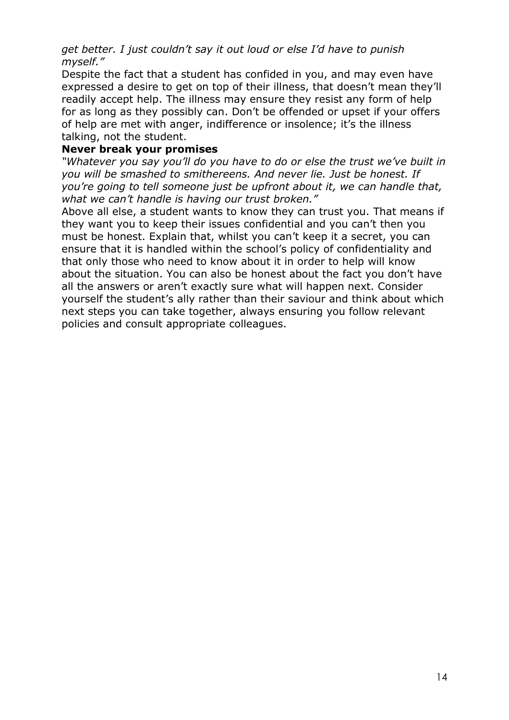*get better. I just couldn't say it out loud or else I'd have to punish myself."* 

Despite the fact that a student has confided in you, and may even have expressed a desire to get on top of their illness, that doesn't mean they'll readily accept help. The illness may ensure they resist any form of help for as long as they possibly can. Don't be offended or upset if your offers of help are met with anger, indifference or insolence; it's the illness talking, not the student.

#### **Never break your promises**

*"Whatever you say you'll do you have to do or else the trust we've built in you will be smashed to smithereens. And never lie. Just be honest. If you're going to tell someone just be upfront about it, we can handle that, what we can't handle is having our trust broken."* 

Above all else, a student wants to know they can trust you. That means if they want you to keep their issues confidential and you can't then you must be honest. Explain that, whilst you can't keep it a secret, you can ensure that it is handled within the school's policy of confidentiality and that only those who need to know about it in order to help will know about the situation. You can also be honest about the fact you don't have all the answers or aren't exactly sure what will happen next. Consider yourself the student's ally rather than their saviour and think about which next steps you can take together, always ensuring you follow relevant policies and consult appropriate colleagues.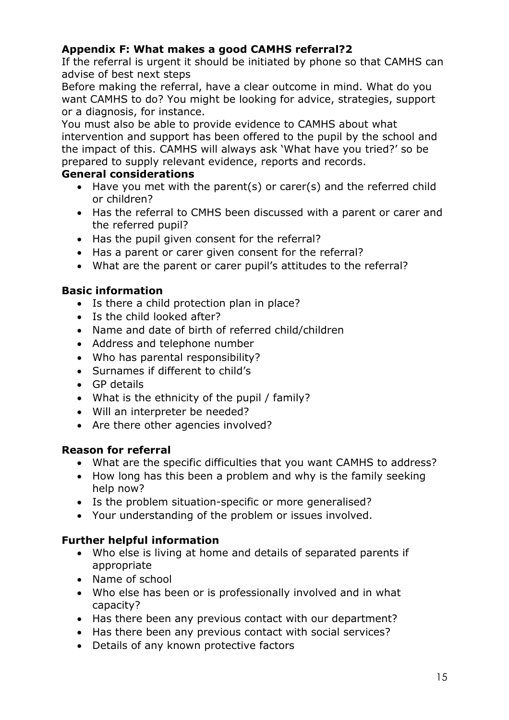# **Appendix F: What makes a good CAMHS referral?2**

If the referral is urgent it should be initiated by phone so that CAMHS can advise of best next steps

Before making the referral, have a clear outcome in mind. What do you want CAMHS to do? You might be looking for advice, strategies, support or a diagnosis, for instance.

You must also be able to provide evidence to CAMHS about what intervention and support has been offered to the pupil by the school and the impact of this. CAMHS will always ask 'What have you tried?' so be prepared to supply relevant evidence, reports and records.

### **General considerations**

- Have you met with the parent(s) or carer(s) and the referred child or children?
- Has the referral to CMHS been discussed with a parent or carer and the referred pupil?
- Has the pupil given consent for the referral?
- Has a parent or carer given consent for the referral?
- What are the parent or carer pupil's attitudes to the referral?

# **Basic information**

- Is there a child protection plan in place?
- Is the child looked after?
- Name and date of birth of referred child/children
- Address and telephone number
- Who has parental responsibility?
- Surnames if different to child's
- GP details
- What is the ethnicity of the pupil / family?
- Will an interpreter be needed?
- Are there other agencies involved?

### **Reason for referral**

- What are the specific difficulties that you want CAMHS to address?
- How long has this been a problem and why is the family seeking help now?
- Is the problem situation-specific or more generalised?
- Your understanding of the problem or issues involved.

### **Further helpful information**

- Who else is living at home and details of separated parents if appropriate
- Name of school
- Who else has been or is professionally involved and in what capacity?
- Has there been any previous contact with our department?
- Has there been any previous contact with social services?
- Details of any known protective factors